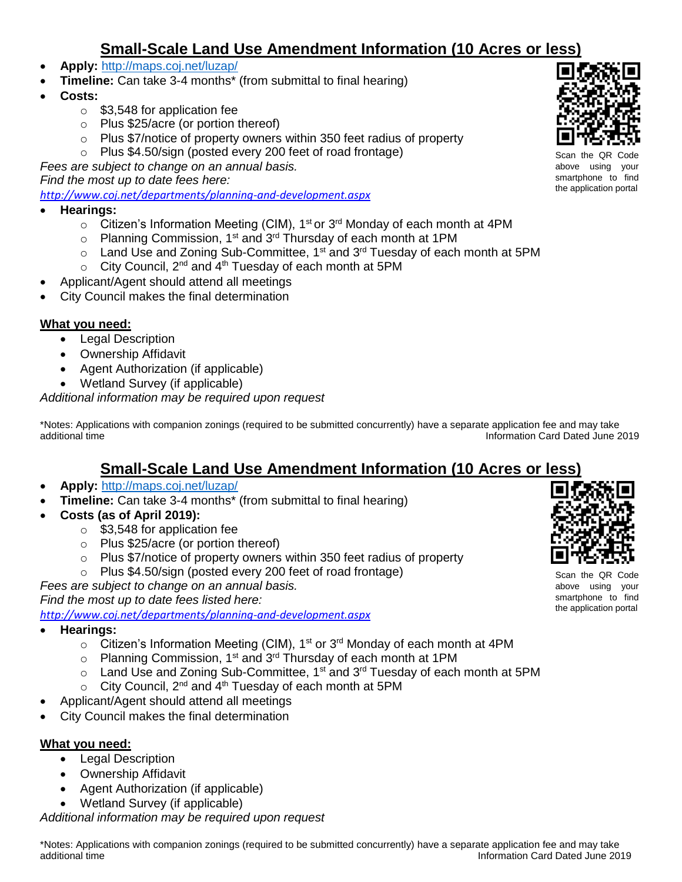# **Small-Scale Land Use Amendment Information (10 Acres or less)**

- **Apply:** <http://maps.coj.net/luzap/>
- **Timeline:** Can take 3-4 months\* (from submittal to final hearing)
- **Costs:** 
	- o \$3,548 for application fee
	- o Plus \$25/acre (or portion thereof)
	- o Plus \$7/notice of property owners within 350 feet radius of property
	- o Plus \$4.50/sign (posted every 200 feet of road frontage)

*Fees are subject to change on an annual basis.* 

*Find the most up to date fees here:* 

*<http://www.coj.net/departments/planning-and-development.aspx>*

- **Hearings:**
	- $\circ$  Citizen's Information Meeting (CIM), 1<sup>st</sup> or 3<sup>rd</sup> Monday of each month at 4PM
	- $\circ$  Planning Commission, 1<sup>st</sup> and 3<sup>rd</sup> Thursday of each month at 1PM
	- $\circ$  Land Use and Zoning Sub-Committee, 1<sup>st</sup> and 3<sup>rd</sup> Tuesday of each month at 5PM
	- $\circ$  City Council, 2<sup>nd</sup> and 4<sup>th</sup> Tuesday of each month at 5PM
- Applicant/Agent should attend all meetings
- City Council makes the final determination

#### **What you need:**

- Legal Description
- Ownership Affidavit
- Agent Authorization (if applicable)
- Wetland Survey (if applicable)

*Additional information may be required upon request*

\*Notes: Applications with companion zonings (required to be submitted concurrently) have a separate application fee and may take additional time **Information Card Dated June 2019** additional time

## **Small-Scale Land Use Amendment Information (10 Acres or less)**

- **Apply:** <http://maps.coj.net/luzap/>
- **Timeline:** Can take 3-4 months\* (from submittal to final hearing)
- **Costs (as of April 2019):** 
	- o \$3,548 for application fee
	- o Plus \$25/acre (or portion thereof)
	- o Plus \$7/notice of property owners within 350 feet radius of property
	- o Plus \$4.50/sign (posted every 200 feet of road frontage)

*Fees are subject to change on an annual basis.* 

*Find the most up to date fees listed here:* 

*<http://www.coj.net/departments/planning-and-development.aspx>*

- **Hearings:**
	- $\circ$  Citizen's Information Meeting (CIM), 1<sup>st</sup> or 3<sup>rd</sup> Monday of each month at 4PM
	- $\circ$  Planning Commission, 1<sup>st</sup> and 3<sup>rd</sup> Thursday of each month at 1PM
	- $\circ$  Land Use and Zoning Sub-Committee, 1<sup>st</sup> and 3<sup>rd</sup> Tuesday of each month at 5PM
	- $\circ$  City Council, 2<sup>nd</sup> and 4<sup>th</sup> Tuesday of each month at 5PM
- Applicant/Agent should attend all meetings
- City Council makes the final determination

#### **What you need:**

- Legal Description
- Ownership Affidavit
- Agent Authorization (if applicable)
- Wetland Survey (if applicable)

*Additional information may be required upon request*



Scan the QR above using your smartphone to find the application portal



Scan above using your smartphone to find the application portal